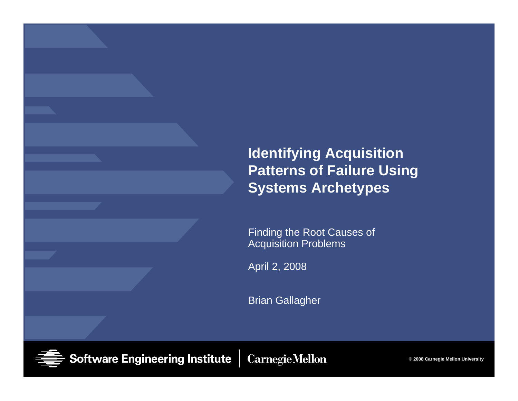### **Identifying Acquisition Patterns of Failure Using Systems Archetypes**

Finding the Root Causes of Acquisition Problems

April 2, 2008

Brian Gallagher

**Software Engineering Institute** 

**Carnegie Mellon** 

**© 2008 Carnegie Mellon University**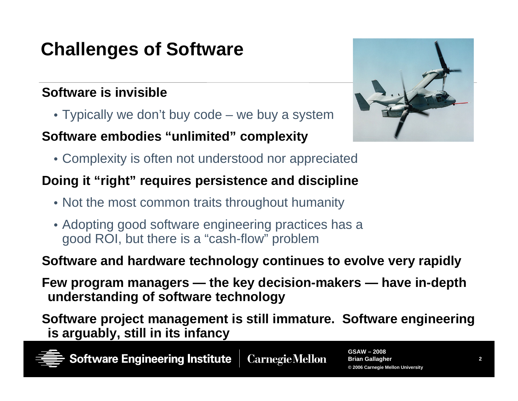## **Challenges of Software**

### **Software is invisible**

• Typically we don't buy code – we buy a system

#### **Software embodies "unlimited" complexity**

- 
- Complexity is often not understood nor appreciated

### **Doing it "right" requires persistence and discipline**

- Not the most common traits throughout humanity
- Adopting good software engineering practices has a good ROI, but there is a "cash-flow" problem

### **Software and hardware technology continues to evolve very rapidly**

**Few program managers — the key decision-makers — have in-depth understanding of software technology**

**Software project management is still immature. Software engineering is arguably, still in its infancy**

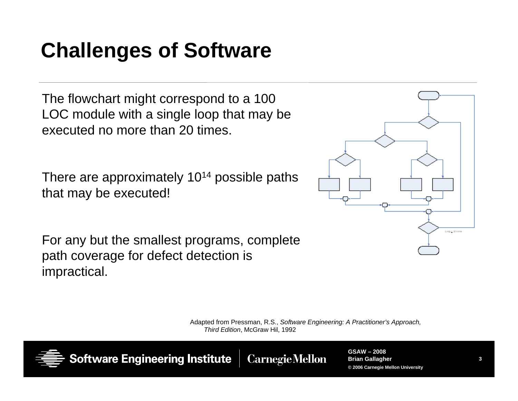# **Challenges of Software**

The flowchart might correspond to a 100 LOC module with a single loop that may be executed no more than 20 times.

There are approximately 10<sup>14</sup> possible paths that may be executed!

For any but the smallest programs, complete path coverage for defect detection is impractical.



Adapted from Pressman, R.S., *Software Engineering: A Practitioner's Approach, Third Edition*, McGraw Hil, 1992



**Software Engineering Institute** 

**Carnegie Mellon**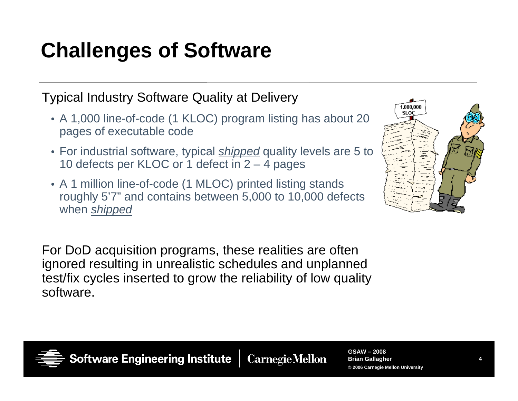# **Challenges of Software**

Typical Industry Software Quality at Delivery

- A 1,000 line-of-code (1 KLOC) program listing has about 20 pages of executable code
- For industrial software, typical *shipped* quality levels are 5 to 10 defects per KLOC or 1 defect in 2 – 4 pages
- A 1 million line-of-code (1 MLOC) printed listing stands roughly 5'7" and contains between 5,000 to 10,000 defects when *shipped*

1.000.000 SLOC

For DoD acquisition programs, these realities are often ignored resulting in unrealistic schedules and unplanned test/fix cycles inserted to grow the reliability of low quality software.



**Software Engineering Institute** 

**Carnegie Mellon**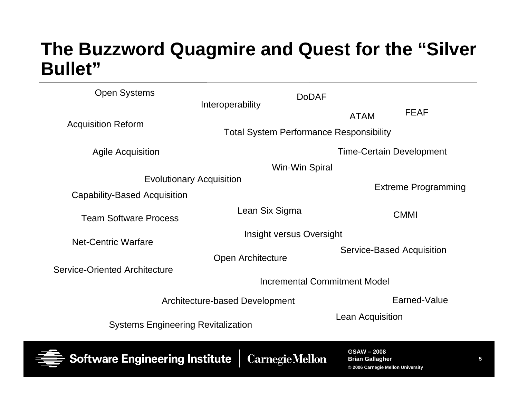### **The Buzzword Quagmire and Quest for the "Silver Bullet"**

| <b>Open Systems</b>                                           | <b>DoDAF</b>                                   |                                            |              |  |
|---------------------------------------------------------------|------------------------------------------------|--------------------------------------------|--------------|--|
| <b>Acquisition Reform</b>                                     | Interoperability                               | <b>ATAM</b>                                | <b>FEAF</b>  |  |
|                                                               | <b>Total System Performance Responsibility</b> |                                            |              |  |
| <b>Agile Acquisition</b>                                      |                                                | <b>Time-Certain Development</b>            |              |  |
|                                                               | Win-Win Spiral                                 |                                            |              |  |
| <b>Evolutionary Acquisition</b>                               |                                                |                                            |              |  |
| Capability-Based Acquisition                                  |                                                | <b>Extreme Programming</b>                 |              |  |
| <b>Team Software Process</b>                                  | Lean Six Sigma                                 |                                            | <b>CMMI</b>  |  |
| <b>Net-Centric Warfare</b>                                    | Insight versus Oversight                       |                                            |              |  |
|                                                               |                                                | Service-Based Acquisition                  |              |  |
|                                                               | Open Architecture                              |                                            |              |  |
| <b>Service-Oriented Architecture</b>                          |                                                |                                            |              |  |
|                                                               | <b>Incremental Commitment Model</b>            |                                            |              |  |
| Architecture-based Development                                |                                                |                                            | Earned-Value |  |
| Lean Acquisition<br><b>Systems Engineering Revitalization</b> |                                                |                                            |              |  |
| <b>Software Engineering Institute</b>                         | <b>Carnegie Mellon</b>                         | <b>GSAW-2008</b><br><b>Brian Gallagher</b> |              |  |

**© 2006 Carnegie Mellon University**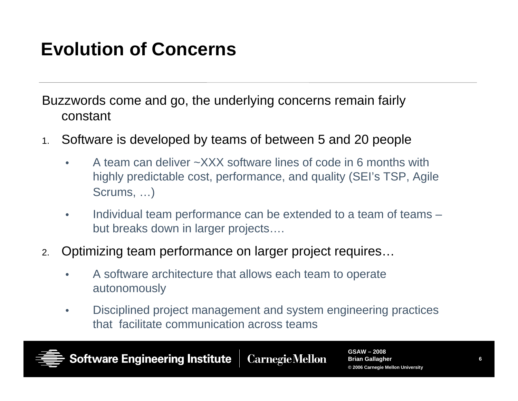## **Evolution of Concerns**

Buzzwords come and go, the underlying concerns remain fairly constant

- 1. Software is developed by teams of between 5 and 20 people
	- • A team can deliver ~XXX software lines of code in 6 months with highly predictable cost, performance, and quality (SEI's TSP, Agile Scrums, …)
	- • Individual team performance can be extended to a team of teams – but breaks down in larger projects….
- 2. Optimizing team performance on larger project requires…
	- • A software architecture that allows each team to operate autonomously
	- • Disciplined project management and system engineering practices that facilitate communication across teams

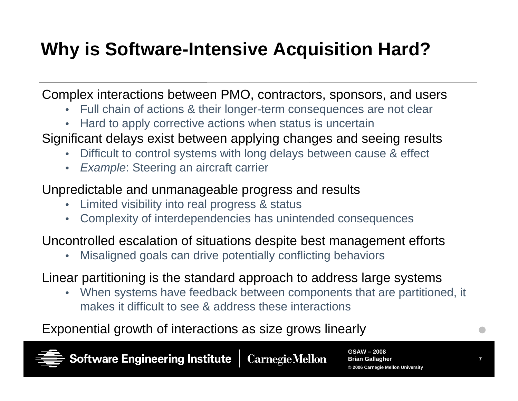## **Why is Software-Intensive Acquisition Hard?**

Complex interactions between PMO, contractors, sponsors, and users

- •Full chain of actions & their longer-term consequences are not clear
- Hard to apply corrective actions when status is uncertain
- Significant delays exist between applying changes and seeing results
	- •Difficult to control systems with long delays between cause & effect
	- $\bullet$ *Example:* Steering an aircraft carrier

#### Unpredictable and unmanageable progress and results

- •Limited visibility into real progress & status
- Complexity of interdependencies has unintended consequences

#### Uncontrolled escalation of situations despite best management efforts

 $\bullet$ Misaligned goals can drive potentially conflicting behaviors

Linear partitioning is the standard approach to address large systems

• When systems have feedback between components that are partitioned, it makes it difficult to see & address these interactions

#### Exponential growth of interactions as size grows linearly

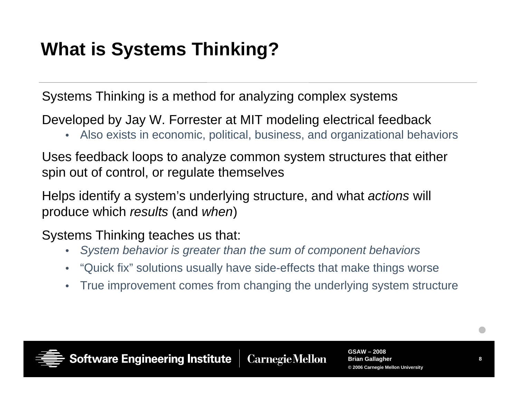## **What is Systems Thinking?**

Systems Thinking is a method for analyzing complex systems

Developed by Jay W. Forrester at MIT modeling electrical feedback

• Also exists in economic, political, business, and organizational behaviors

Uses feedback loops to analyze common system structures that either spin out of control, or regulate themselves

Helps identify a system's underlying structure, and what *actions* will produce which *results* (and *when*)

Systems Thinking teaches us that:

- •*System behavior is greater than the sum of component behaviors*
- •"Quick fix" solutions usually have side-effects that make things worse
- •True improvement comes from changing the underlying system structure



**Software Engineering Institute**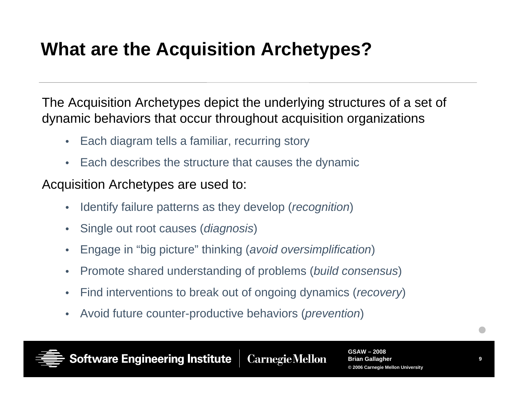## **What are the Acquisition Archetypes?**

The Acquisition Archetypes depict the underlying structures of a set of dynamic behaviors that occur throughout acquisition organizations

- Each diagram tells a familiar, recurring story
- Each describes the structure that causes the dynamic

### Acquisition Archetypes are used to:

- $\bullet$ Identify failure patterns as they develop (*recognition*)
- $\bullet$ Single out root causes (*diagnosis*)
- $\bullet$ Engage in "big picture" thinking (*avoid oversimplification*)
- $\bullet$ Promote shared understanding of problems (*build consensus*)
- •Find interventions to break out of ongoing dynamics (*recovery*)
- $\bullet$ Avoid future counter-productive behaviors (*prevention*)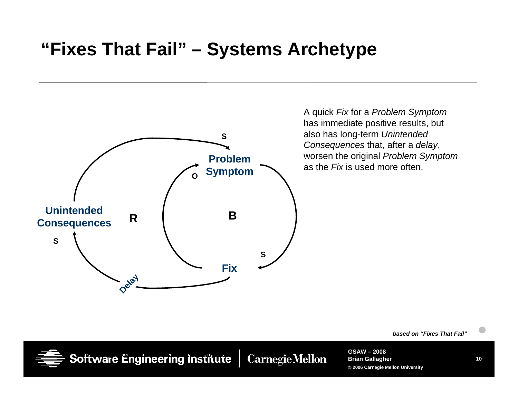### **"Fixes That Fail" – Systems Archetype**



A quick *Fix* for a *Problem Symptom* has immediate positive results, but also has long-term *Unintended Consequences* that, after a *delay*, worsen the original *Problem Symptom* as the *Fix* is used more often.

*based on "Fixes That Fail"*

**Software Engineering institute** 

**CarnegieMellon**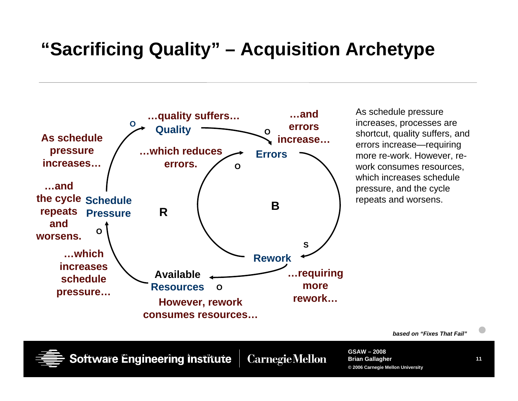### **"Sacrificing Quality" – Acquisition Archetype**



As schedule pressure increases, processes are shortcut, quality suffers, and errors increase—requiring more re-work. However, rework consumes resources, which increases schedule pressure, and the cycle repeats and worsens.

*based on "Fixes That Fail"*



**CarnegieMellon**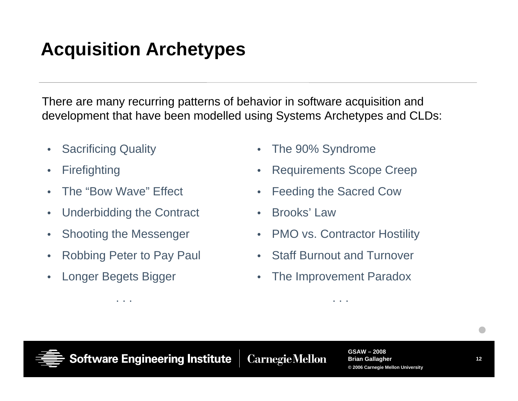## **Acquisition Archetypes**

There are many recurring patterns of behavior in software acquisition and development that have been modelled using Systems Archetypes and CLDs:

- $\bullet$ Sacrificing Quality
- $\bullet$ **Firefighting**
- $\bullet$ The "Bow Wave" Effect
- $\bullet$ Underbidding the Contract
- $\bullet$ Shooting the Messenger
- $\bullet$ Robbing Peter to Pay Paul

. . .

 $\bullet$ Longer Begets Bigger

- $\bullet$ The 90% Syndrome
- $\bullet$ Requirements Scope Creep
- $\bullet$ Feeding the Sacred Cow
- •Brooks' Law
- PMO vs. Contractor Hostility
- $\bullet$ Staff Burnout and Turnover
- $\bullet$ The Improvement Paradox

. . .



**Software Engineering Institute CarnegieMellon**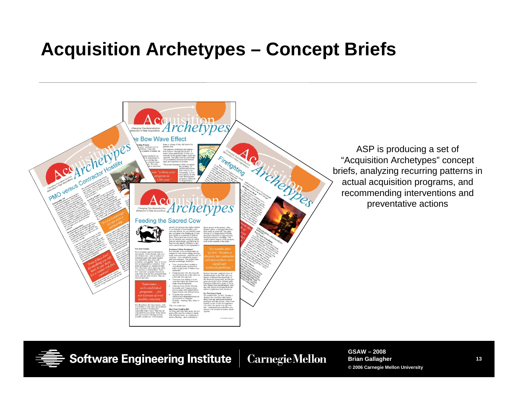### **Acquisition Archetypes – Concept Briefs**



**Software Engineering Institute** 

**Carnegie Mellon**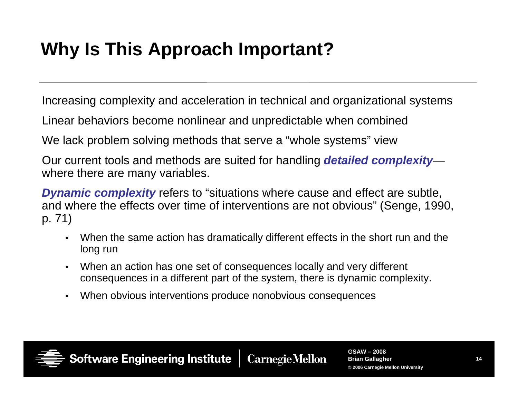## **Why Is This Approach Important?**

Increasing complexity and acceleration in technical and organizational systems

Linear behaviors become nonlinear and unpredictable when combined

We lack problem solving methods that serve a "whole systems" view

Our current tools and methods are suited for handling *detailed complexity* where there are many variables.

*Dynamic complexity* refers to "situations where cause and effect are subtle, and where the effects over time of interventions are not obvious" (Senge, 1990, p. 71)

- • When the same action has dramatically different effects in the short run and the long run
- $\bullet$  When an action has one set of consequences locally and very different consequences in a different part of the system, there is dynamic complexity.
- $\bullet$ When obvious interventions produce nonobvious consequences



**Software Engineering Institute**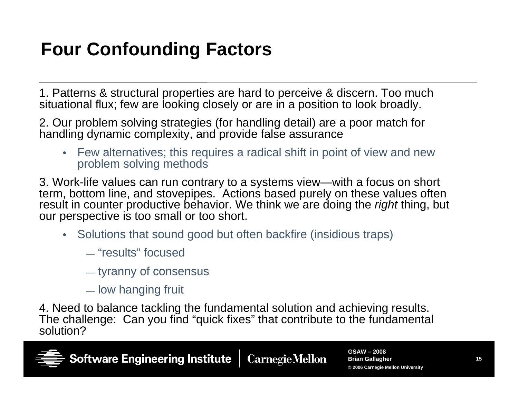## **Four Confounding Factors**

1. Patterns & structural properties are hard to perceive & discern. Too much situational flux; few are looking closely or are in a position to look broadly.

2. Our problem solving strategies (for handling detail) are a poor match for handling dynamic complexity, and provide false assurance

• Few alternatives; this requires a radical shift in point of view and new problem solving methods

3. Work-life values can run contrary to a systems view—with a focus on short term, bottom line, and stovepipes. Actions based purely on these values often result in counter productive behavior. We think we are doing the *right* thing, but our perspective is too small or too short.

- Solutions that sound good but often backfire (insidious traps)
	- "results" focused
	- tyranny of consensus
	- low hanging fruit

4. Need to balance tackling the fundamental solution and achieving results. The challenge: Can you find "quick fixes" that contribute to the fundamental solution?

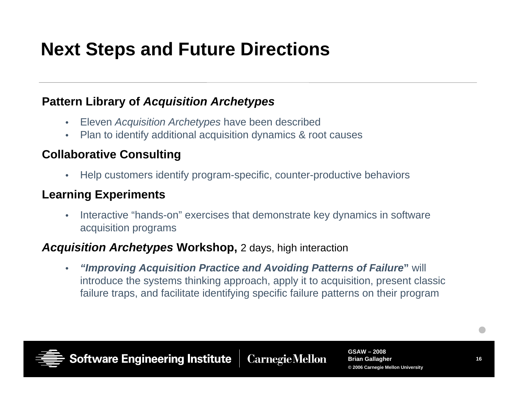### **Next Steps and Future Directions**

#### **Pattern Library of** *Acquisition Archetypes*

- $\bullet$ Eleven *Acquisition Archetypes* have been described
- $\bullet$ Plan to identify additional acquisition dynamics & root causes

#### **Collaborative Consulting**

 $\bullet$ Help customers identify program-specific, counter-productive behaviors

#### **Learning Experiments**

 $\bullet$  Interactive "hands-on" exercises that demonstrate key dynamics in software acquisition programs

#### *Acquisition Archetypes* **Workshop,** 2 days, high interaction

• *"Improving Acquisition Practice and Avoiding Patterns of Failure***"** will introduce the systems thinking approach, apply it to acquisition, present classic failure traps, and facilitate identifying specific failure patterns on their program



**Software Engineering Institute**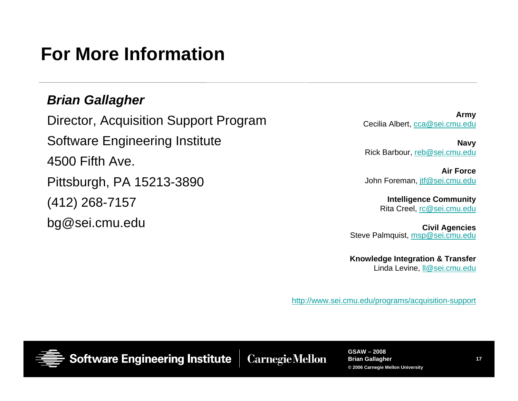### **For More Information**

#### *Brian Gallagher*

Director, Acquisition Support Program Software Engineering Institute 4500 Fifth Ave. Pittsburgh, PA 15213-3890 (412) 268-7157 bg@sei.cmu.edu

**Army** Cecilia Albert, cca@sei.cmu.edu

**Navy** Rick Barbour, reb@sei.cmu.edu

**Air Force**John Foreman, jtf@sei.cmu.edu

> **Intelligence Community** Rita Creel, rc@sei.cmu.edu

**Civil Agencies** Steve Palmquist, msp@sei.cmu.edu

**Knowledge Integration & Transfer** Linda Levine, ll@sei.cmu.edu

http://www.sei.cmu.edu/programs/acquisition-support



**Software Engineering Institute** 

**CarnegieMellon**